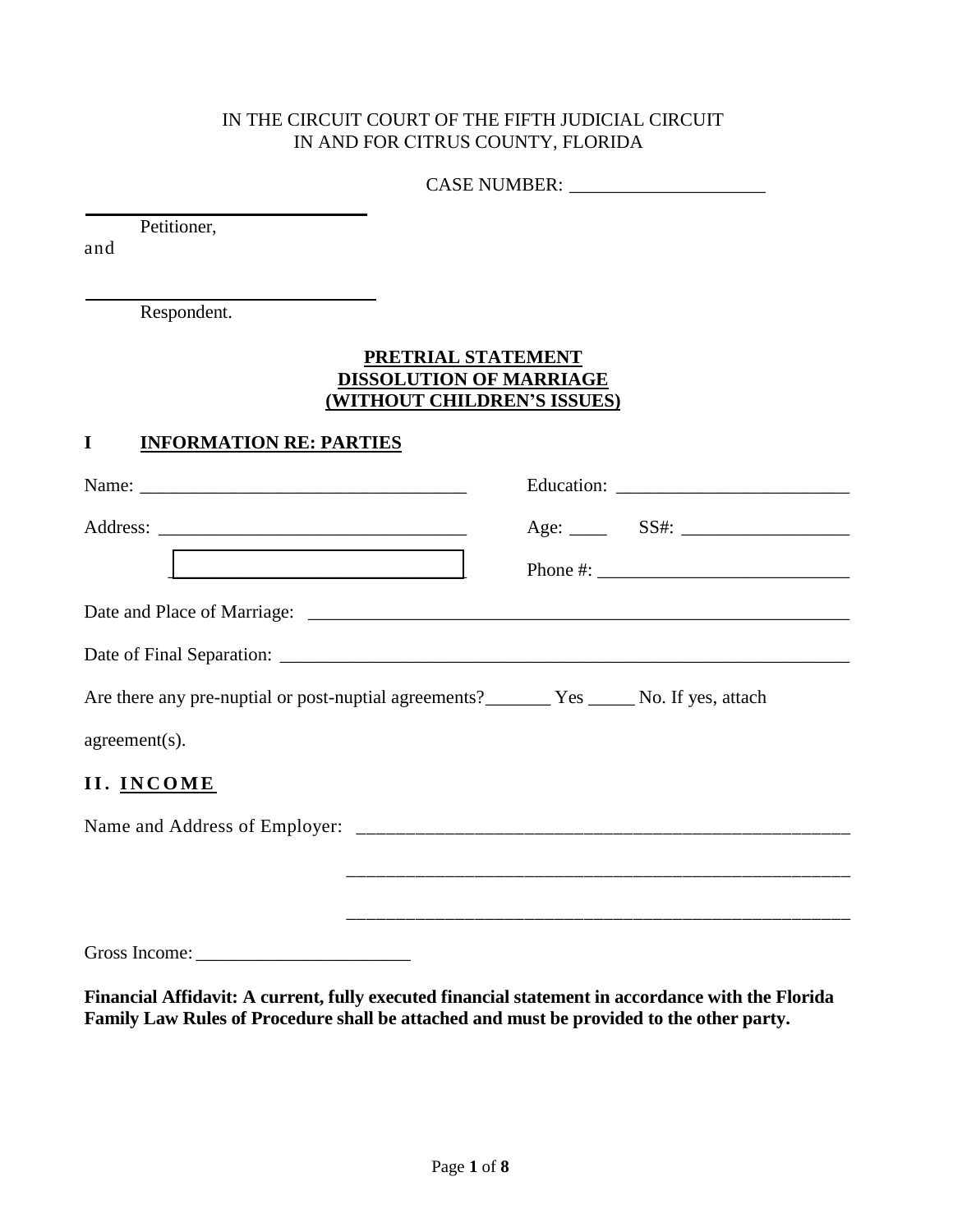### IN THE CIRCUIT COURT OF THE FIFTH JUDICIAL CIRCUIT IN AND FOR CITRUS COUNTY, FLORIDA

| <b>CASE NUMBER:</b> |  |
|---------------------|--|
|                     |  |

Petitioner,

and

Respondent.

#### **PRETRIAL STATEMENT DISSOLUTION OF MARRIAGE (WITHOUT CHILDREN'S ISSUES)**

### **I INFORMATION RE: PARTIES**

| <u> La componenta de la componenta de la componenta de la componenta de la componenta de la componenta de la compo</u> | Phone #: $\frac{1}{2}$ = $\frac{1}{2}$ = $\frac{1}{2}$ = $\frac{1}{2}$ = $\frac{1}{2}$ = $\frac{1}{2}$ = $\frac{1}{2}$ = $\frac{1}{2}$ = $\frac{1}{2}$ = $\frac{1}{2}$ = $\frac{1}{2}$ = $\frac{1}{2}$ = $\frac{1}{2}$ = $\frac{1}{2}$ = $\frac{1}{2}$ = $\frac{1}{2}$ = $\frac{1}{2}$ = $\frac{1}{2}$ |
|------------------------------------------------------------------------------------------------------------------------|--------------------------------------------------------------------------------------------------------------------------------------------------------------------------------------------------------------------------------------------------------------------------------------------------------|
|                                                                                                                        |                                                                                                                                                                                                                                                                                                        |
|                                                                                                                        |                                                                                                                                                                                                                                                                                                        |
| Are there any pre-nuptial or post-nuptial agreements? _________ Yes _______ No. If yes, attach                         |                                                                                                                                                                                                                                                                                                        |
| $agreement(s)$ .                                                                                                       |                                                                                                                                                                                                                                                                                                        |
| II. INCOME                                                                                                             |                                                                                                                                                                                                                                                                                                        |
|                                                                                                                        |                                                                                                                                                                                                                                                                                                        |
|                                                                                                                        |                                                                                                                                                                                                                                                                                                        |
|                                                                                                                        |                                                                                                                                                                                                                                                                                                        |
|                                                                                                                        |                                                                                                                                                                                                                                                                                                        |

**Financial Affidavit: A current, fully executed financial statement in accordance with the Florida Family Law Rules of Procedure shall be attached and must be provided to the other party.**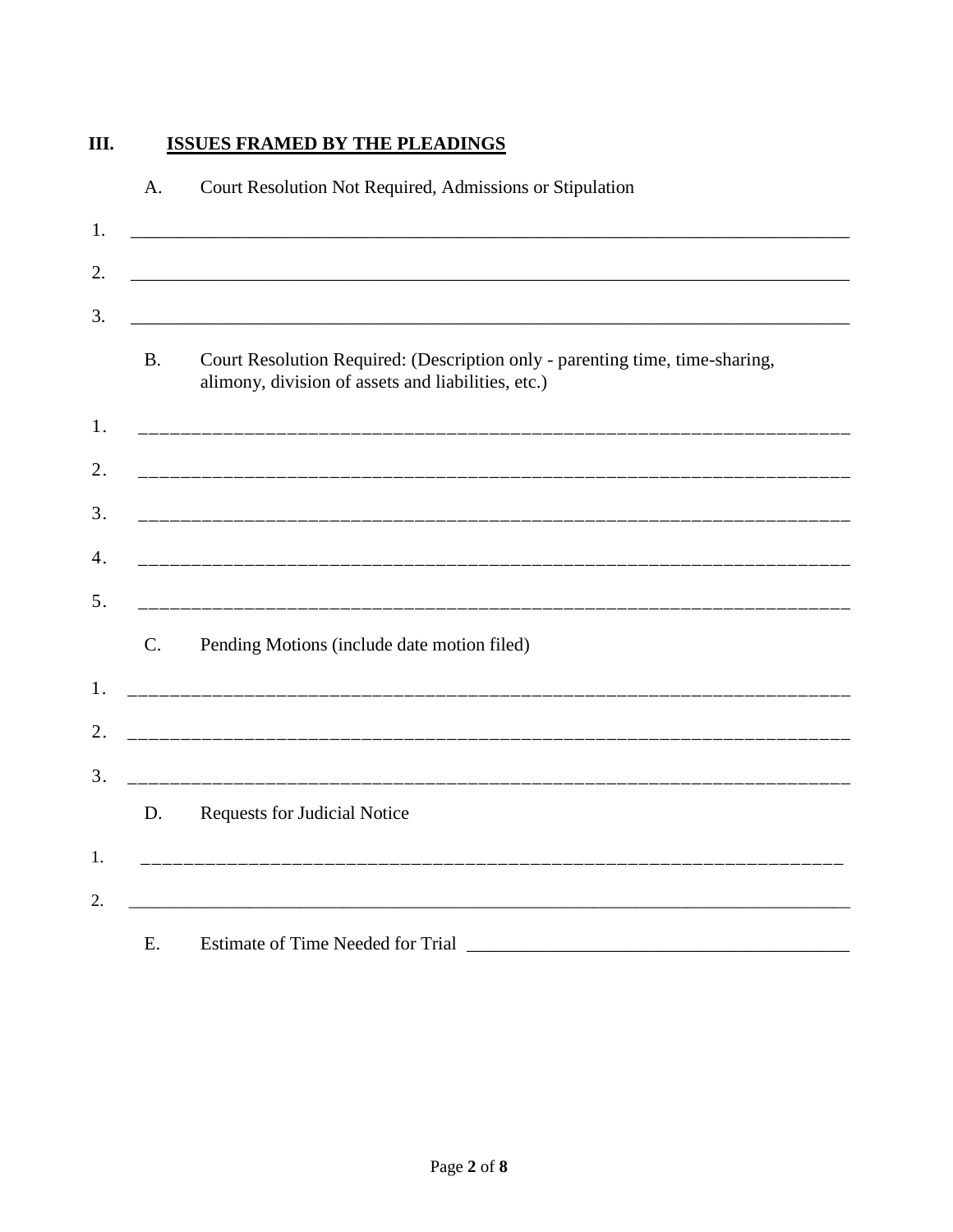#### III. **ISSUES FRAMED BY THE PLEADINGS**

| <b>B.</b>   | Court Resolution Required: (Description only - parenting time, time-sharing,<br>alimony, division of assets and liabilities, etc.) |
|-------------|------------------------------------------------------------------------------------------------------------------------------------|
|             |                                                                                                                                    |
|             |                                                                                                                                    |
|             |                                                                                                                                    |
|             |                                                                                                                                    |
| $C_{\cdot}$ | Pending Motions (include date motion filed)                                                                                        |
|             |                                                                                                                                    |
|             |                                                                                                                                    |
| D.          | <b>Requests for Judicial Notice</b>                                                                                                |
|             |                                                                                                                                    |
| Ε.          | <b>Estimate of Time Needed for Trial</b>                                                                                           |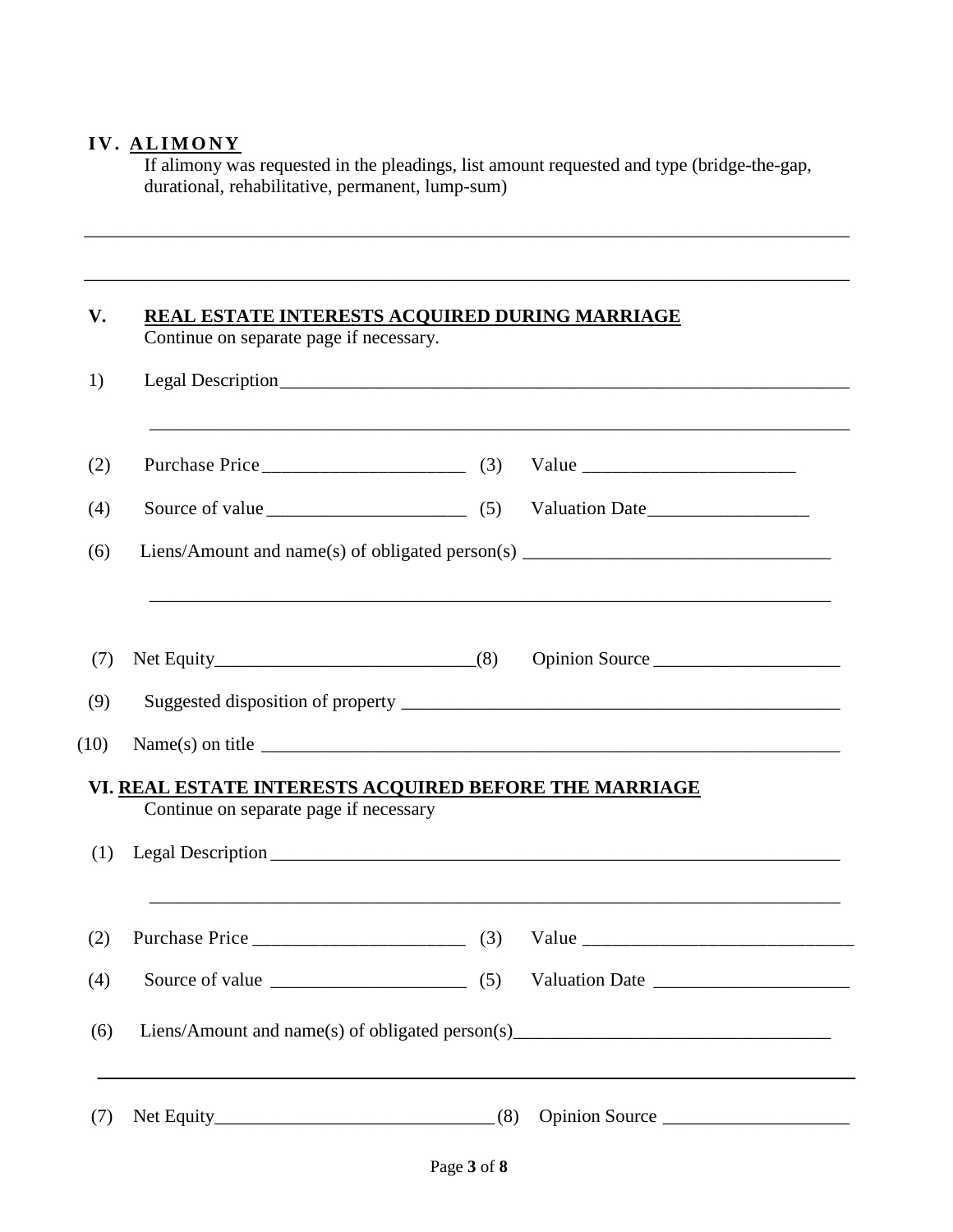## IV. ALIMONY

If alimony was requested in the pleadings, list amount requested and type (bridge-the-gap, durational, rehabilitative, permanent, lump-sum)

\_\_\_\_\_\_\_\_\_\_\_\_\_\_\_\_\_\_\_\_\_\_\_\_\_\_\_\_\_\_\_\_\_\_\_\_\_\_\_\_\_\_\_\_\_\_\_\_\_\_\_\_\_\_\_\_\_\_\_\_\_\_\_\_\_\_\_\_\_\_\_\_\_\_\_\_\_\_\_\_\_\_

| Continue on separate page if necessary.                                                          |                  |
|--------------------------------------------------------------------------------------------------|------------------|
|                                                                                                  |                  |
|                                                                                                  |                  |
|                                                                                                  |                  |
| Liens/Amount and name(s) of obligated person(s) _________________________________                |                  |
|                                                                                                  | Opinion Source   |
|                                                                                                  |                  |
|                                                                                                  | Name(s) on title |
|                                                                                                  |                  |
| VI. REAL ESTATE INTERESTS ACQUIRED BEFORE THE MARRIAGE<br>Continue on separate page if necessary |                  |
|                                                                                                  |                  |
|                                                                                                  |                  |
|                                                                                                  |                  |
| Liens/Amount and name(s) of obligated person(s)__________________________________                |                  |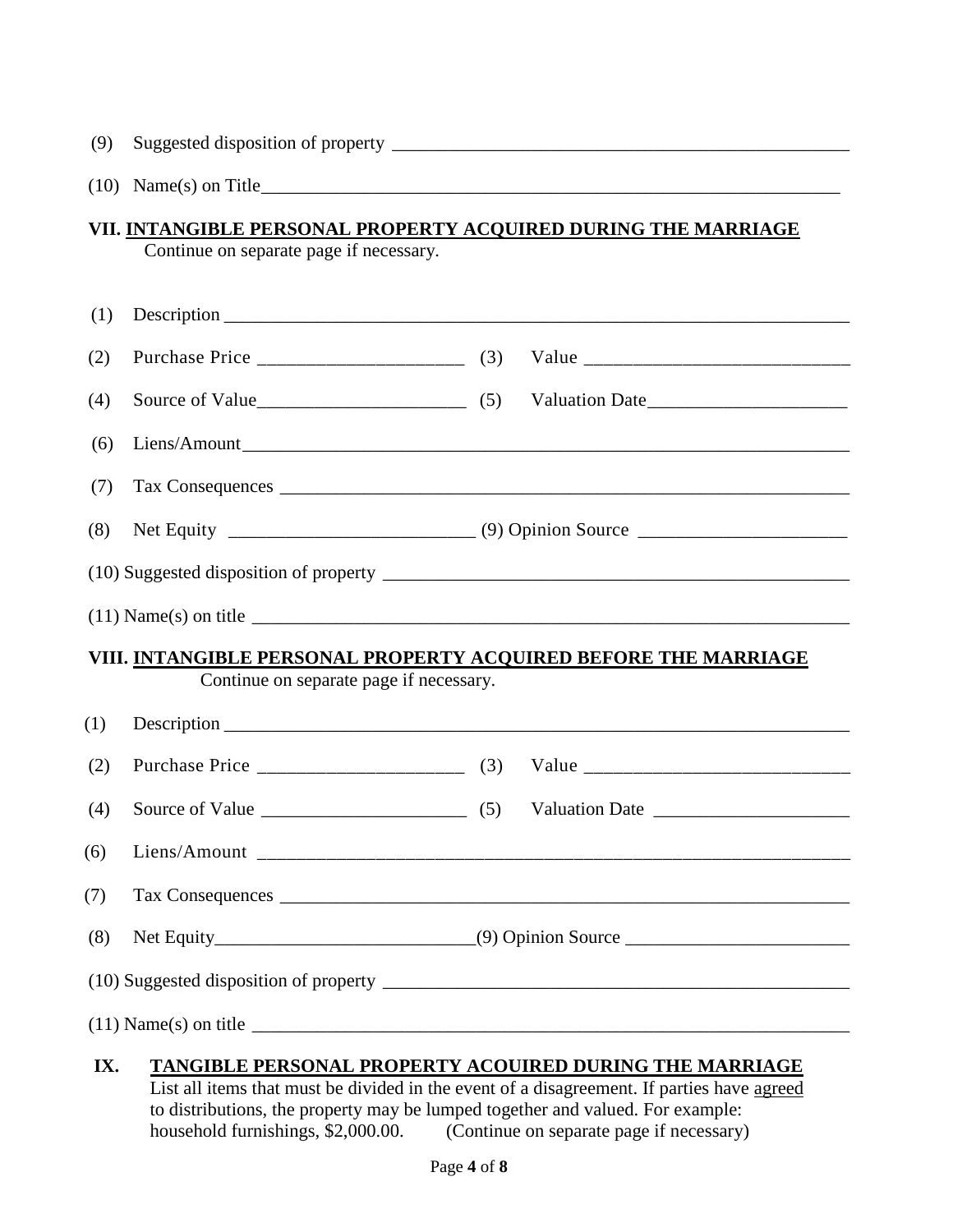|  |  | (9) Suggested disposition of property |  |
|--|--|---------------------------------------|--|
|--|--|---------------------------------------|--|

(10) Name(s) on Title \_\_\_\_\_\_\_\_\_\_\_\_\_\_\_\_\_\_\_\_\_\_\_\_\_\_\_\_\_\_\_\_\_\_\_\_\_\_\_\_\_\_\_\_\_\_\_\_\_\_\_\_\_\_\_\_\_\_\_\_\_\_

### **VII. INTANGIBLE PERSONAL PROPERTY ACQUIRED DURING THE MARRIAGE**  Continue on separate page if necessary.

| (1) |                                                                                                            |  |
|-----|------------------------------------------------------------------------------------------------------------|--|
| (2) |                                                                                                            |  |
| (4) |                                                                                                            |  |
| (6) |                                                                                                            |  |
| (7) |                                                                                                            |  |
| (8) |                                                                                                            |  |
|     |                                                                                                            |  |
|     |                                                                                                            |  |
|     | VIII. INTANGIBLE PERSONAL PROPERTY ACQUIRED BEFORE THE MARRIAGE<br>Continue on separate page if necessary. |  |
| (1) |                                                                                                            |  |
| (2) |                                                                                                            |  |
| (4) | Source of Value $\qquad \qquad$ (5)                                                                        |  |
| (6) |                                                                                                            |  |
| (7) |                                                                                                            |  |
| (8) |                                                                                                            |  |
|     |                                                                                                            |  |
|     | $(11)$ Name(s) on title $\qquad \qquad$                                                                    |  |
| IX. | TANGIBLE PERSONAL PROPERTY ACOUIRED DURING THE MARRIAGE                                                    |  |

# List all items that must be divided in the event of a disagreement. If parties have agreed to distributions, the property may be lumped together and valued. For example:<br>household furnishings, \$2,000.00. (Continue on separate page if necessary)  $h$  (Continue on separate page if necessary)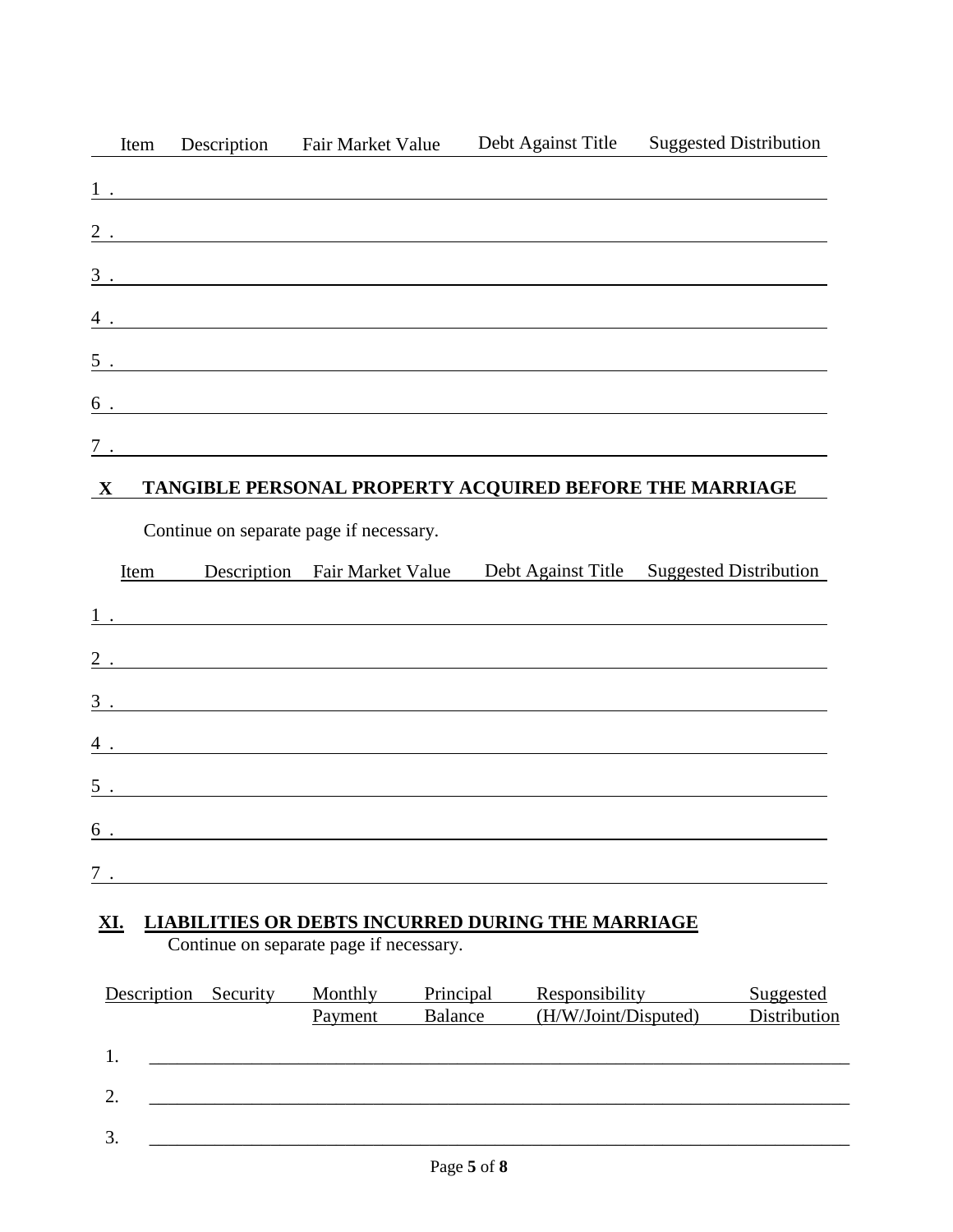| Item         | Description | <b>Fair Market Value</b>                                                                                                                                                                                                                                                                                                                            | Debt Against Title                                                         | <b>Suggested Distribution</b>                                                                                                                                                                                                     |
|--------------|-------------|-----------------------------------------------------------------------------------------------------------------------------------------------------------------------------------------------------------------------------------------------------------------------------------------------------------------------------------------------------|----------------------------------------------------------------------------|-----------------------------------------------------------------------------------------------------------------------------------------------------------------------------------------------------------------------------------|
|              |             |                                                                                                                                                                                                                                                                                                                                                     |                                                                            |                                                                                                                                                                                                                                   |
|              |             |                                                                                                                                                                                                                                                                                                                                                     |                                                                            | $2$ .                                                                                                                                                                                                                             |
|              |             |                                                                                                                                                                                                                                                                                                                                                     |                                                                            | $\overline{3}$ .                                                                                                                                                                                                                  |
|              |             |                                                                                                                                                                                                                                                                                                                                                     |                                                                            | $\frac{4}{1}$ .                                                                                                                                                                                                                   |
|              |             |                                                                                                                                                                                                                                                                                                                                                     |                                                                            | $\frac{5}{1}$ .                                                                                                                                                                                                                   |
|              |             |                                                                                                                                                                                                                                                                                                                                                     |                                                                            |                                                                                                                                                                                                                                   |
|              |             |                                                                                                                                                                                                                                                                                                                                                     |                                                                            | $\frac{6}{100}$ .                                                                                                                                                                                                                 |
| $\mathbf{X}$ |             |                                                                                                                                                                                                                                                                                                                                                     | $\frac{7}{2}$ .<br>TANGIBLE PERSONAL PROPERTY ACQUIRED BEFORE THE MARRIAGE |                                                                                                                                                                                                                                   |
|              |             | Continue on separate page if necessary.                                                                                                                                                                                                                                                                                                             |                                                                            |                                                                                                                                                                                                                                   |
|              | Item        |                                                                                                                                                                                                                                                                                                                                                     |                                                                            | Description Fair Market Value Debt Against Title Suggested Distribution                                                                                                                                                           |
|              |             |                                                                                                                                                                                                                                                                                                                                                     |                                                                            | $\frac{1}{2}$ . The contract of the contract of the contract of the contract of the contract of the contract of the contract of the contract of the contract of the contract of the contract of the contract of the contract of t |
|              |             |                                                                                                                                                                                                                                                                                                                                                     |                                                                            | 2.                                                                                                                                                                                                                                |
|              |             |                                                                                                                                                                                                                                                                                                                                                     |                                                                            | $\overline{3}$ .                                                                                                                                                                                                                  |
|              |             |                                                                                                                                                                                                                                                                                                                                                     |                                                                            | $\frac{4}{1}$ .                                                                                                                                                                                                                   |
|              |             |                                                                                                                                                                                                                                                                                                                                                     |                                                                            | $\overline{5}$ .                                                                                                                                                                                                                  |
|              |             |                                                                                                                                                                                                                                                                                                                                                     |                                                                            | $\frac{6}{100}$ .                                                                                                                                                                                                                 |
|              |             | $\overline{7}$ . $\overline{2}$ . $\overline{2}$ . $\overline{2}$ . $\overline{2}$ . $\overline{2}$ . $\overline{2}$ . $\overline{2}$ . $\overline{2}$ . $\overline{2}$ . $\overline{2}$ . $\overline{2}$ . $\overline{2}$ . $\overline{2}$ . $\overline{2}$ . $\overline{2}$ . $\overline{2}$ . $\overline{2}$ . $\overline{2}$ . $\overline{2}$ . |                                                                            |                                                                                                                                                                                                                                   |
|              |             |                                                                                                                                                                                                                                                                                                                                                     | XI. LIABILITIES OR DEBTS INCURRED DURING THE MARRIAGE                      |                                                                                                                                                                                                                                   |

# **XI. LIABILITIES OR DEBTS INCURRED DURING THE MARRIAGE**

Continue on separate page if necessary.

| Description | Security | Monthly | Principal | Responsibility       | <b>Suggested</b> |
|-------------|----------|---------|-----------|----------------------|------------------|
|             |          | Payment | Balance   | (H/W/Joint/Disputed) | Distribution     |
|             |          |         |           |                      |                  |
| 1.          |          |         |           |                      |                  |
|             |          |         |           |                      |                  |
| 2.          |          |         |           |                      |                  |
|             |          |         |           |                      |                  |
| 3.          |          |         |           |                      |                  |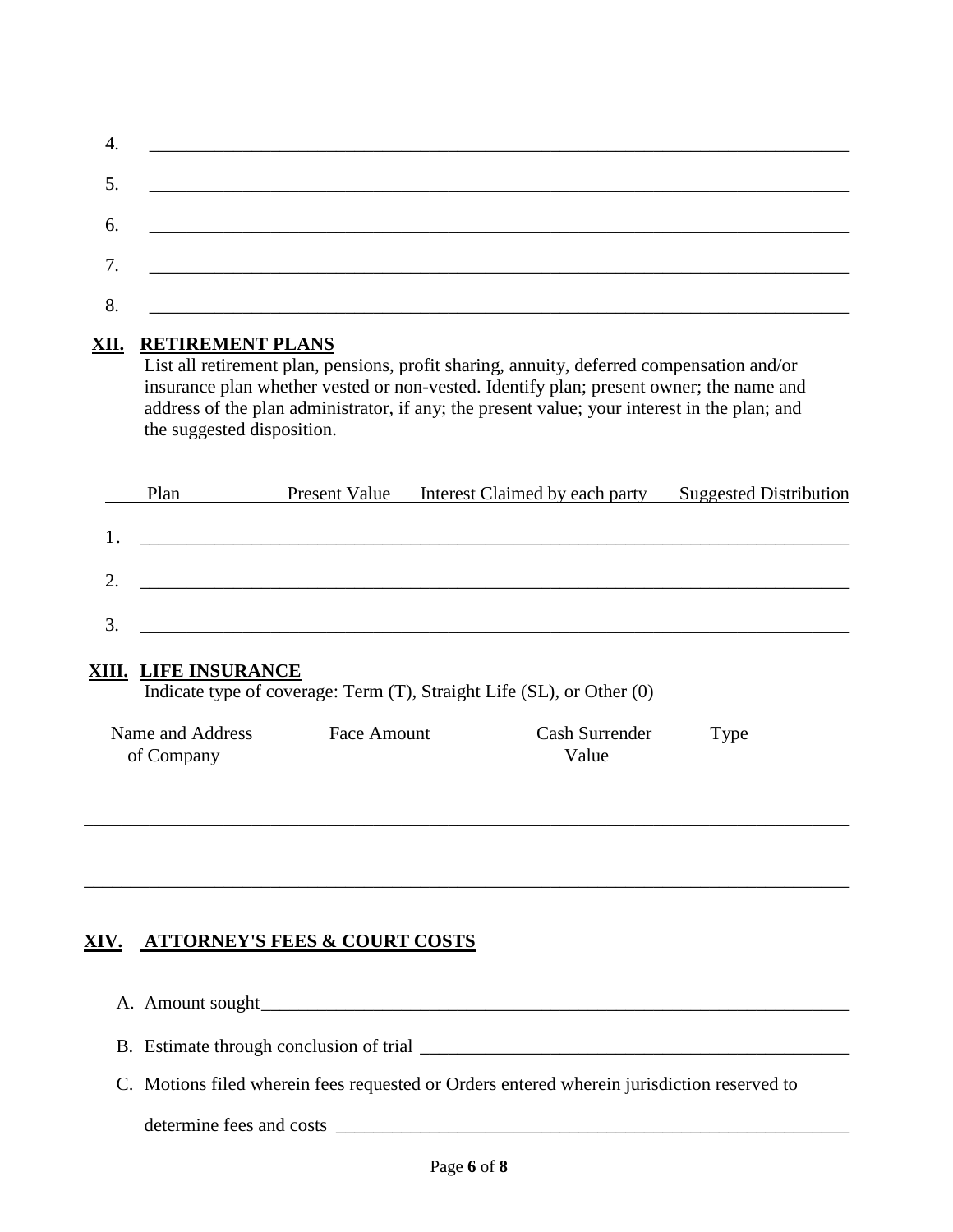| 5. | <u> 1980 - Jan Stein Stein, fransk politik forsk politik (d. 1980)</u>                                                |
|----|-----------------------------------------------------------------------------------------------------------------------|
| 6. | <u> 1989 - Johann Harry Harry Harry Harry Harry Harry Harry Harry Harry Harry Harry Harry Harry Harry Harry Harry</u> |
|    | 7. <u>_____________________________</u>                                                                               |
| 8. |                                                                                                                       |

#### **XII. RETIREMENT PLANS**

List all retirement plan, pensions, profit sharing, annuity, deferred compensation and/or insurance plan whether vested or non-vested. Identify plan; present owner; the name and address of the plan administrator, if any; the present value; your interest in the plan; and the suggested disposition.

|    | Plan | Present Value | Interest Claimed by each party | <b>Suggested Distribution</b> |
|----|------|---------------|--------------------------------|-------------------------------|
|    |      |               |                                |                               |
|    |      |               |                                |                               |
|    |      |               |                                |                               |
| っ  |      |               |                                |                               |
|    |      |               |                                |                               |
| 3. |      |               |                                |                               |
|    |      |               |                                |                               |

#### **XIII. LIFE INSURANCE**

Indicate type of coverage: Term (T), Straight Life (SL), or Other (0)

| Name and Address | Face Amount | Cash Surrender | Type |
|------------------|-------------|----------------|------|
| of Company       |             | Value          |      |

\_\_\_\_\_\_\_\_\_\_\_\_\_\_\_\_\_\_\_\_\_\_\_\_\_\_\_\_\_\_\_\_\_\_\_\_\_\_\_\_\_\_\_\_\_\_\_\_\_\_\_\_\_\_\_\_\_\_\_\_\_\_\_\_\_\_\_\_\_\_\_\_\_\_\_\_\_\_\_\_\_\_

\_\_\_\_\_\_\_\_\_\_\_\_\_\_\_\_\_\_\_\_\_\_\_\_\_\_\_\_\_\_\_\_\_\_\_\_\_\_\_\_\_\_\_\_\_\_\_\_\_\_\_\_\_\_\_\_\_\_\_\_\_\_\_\_\_\_\_\_\_\_\_\_\_\_\_\_\_\_\_\_\_\_

### **XIV. ATTORNEY'S FEES & COURT COSTS**

- A. Amount sought \_\_\_\_\_\_\_\_\_\_\_\_\_\_\_\_\_\_\_\_\_\_\_\_\_\_\_\_\_\_\_\_\_\_\_\_\_\_\_\_\_\_\_\_\_\_\_\_\_\_\_\_\_\_\_\_\_\_\_\_\_\_\_
- B. Estimate through conclusion of trial \_\_\_\_\_\_\_\_\_\_\_\_\_\_\_\_\_\_\_\_\_\_\_\_\_\_\_\_\_\_\_\_\_\_\_\_\_\_\_\_\_\_\_\_\_\_
- C. Motions filed wherein fees requested or Orders entered wherein jurisdiction reserved to

determine fees and costs \_\_\_\_\_\_\_\_\_\_\_\_\_\_\_\_\_\_\_\_\_\_\_\_\_\_\_\_\_\_\_\_\_\_\_\_\_\_\_\_\_\_\_\_\_\_\_\_\_\_\_\_\_\_\_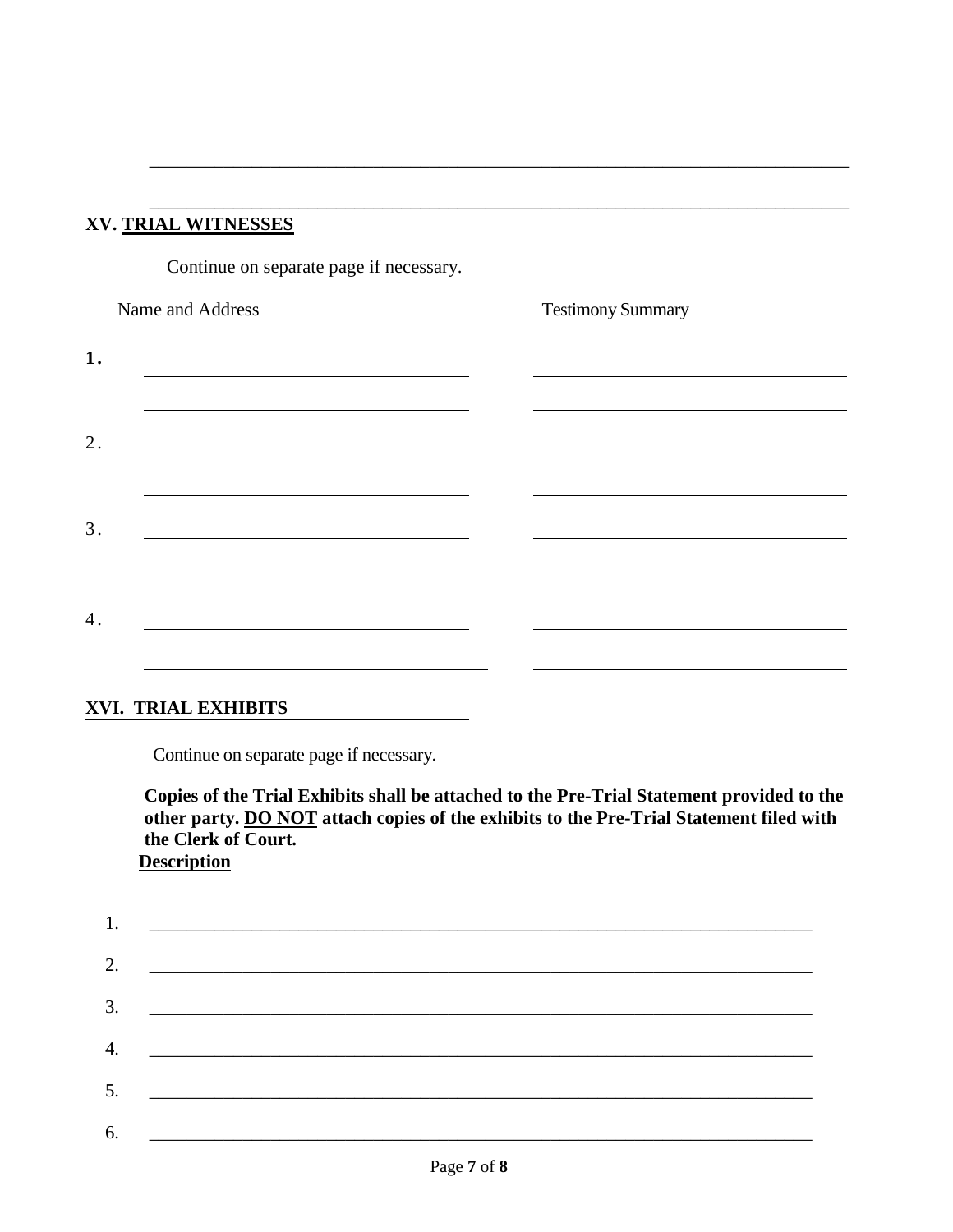## **XV. TRIAL WITNESSES**

Continue on separate page if necessary.

| Name and Address | <b>Testimony Summary</b> |
|------------------|--------------------------|
| 1.               |                          |
|                  |                          |
| 2.               |                          |
|                  |                          |
| 3.               |                          |
|                  |                          |
| 4.               |                          |
|                  |                          |
|                  |                          |

\_\_\_\_\_\_\_\_\_\_\_\_\_\_\_\_\_\_\_\_\_\_\_\_\_\_\_\_\_\_\_\_\_\_\_\_\_\_\_\_\_\_\_\_\_\_\_\_\_\_\_\_\_\_\_\_\_\_\_\_\_\_\_\_\_\_\_\_\_\_\_\_\_\_\_

\_\_\_\_\_\_\_\_\_\_\_\_\_\_\_\_\_\_\_\_\_\_\_\_\_\_\_\_\_\_\_\_\_\_\_\_\_\_\_\_\_\_\_\_\_\_\_\_\_\_\_\_\_\_\_\_\_\_\_\_\_\_\_\_\_\_\_\_\_\_\_\_\_\_\_

#### **XVI. TRIAL EXHIBITS**

Continue on separate page if necessary.

**Copies of the Trial Exhibits shall be attached to the Pre-Trial Statement provided to the other party. DO NOT attach copies of the exhibits to the Pre-Trial Statement filed with the Clerk of Court. Description** 

|    | 2. $\qquad \qquad$                                                                                                                                                                                                                                                    |
|----|-----------------------------------------------------------------------------------------------------------------------------------------------------------------------------------------------------------------------------------------------------------------------|
|    | $\overline{\mathbf{3}}$ .                                                                                                                                                                                                                                             |
| 4. | <u> 1980 - Jan James Barn, mars and de British and de British and de British and de British and de British and d</u>                                                                                                                                                  |
|    |                                                                                                                                                                                                                                                                       |
|    |                                                                                                                                                                                                                                                                       |
| 6. | $5.$ $\overline{\phantom{a}}$<br><u> 1989 - Johann Harry Harry Harry Harry Harry Harry Harry Harry Harry Harry Harry Harry Harry Harry Harry Harry Harry Harry Harry Harry Harry Harry Harry Harry Harry Harry Harry Harry Harry Harry Harry Harry Harry Harry Ha</u> |